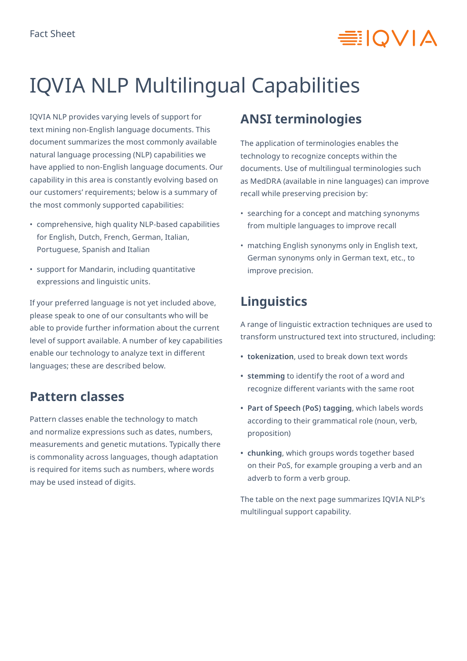# **≡IOVIA**

# IQVIA NLP Multilingual Capabilities

IQVIA NLP provides varying levels of support for text mining non-English language documents. This document summarizes the most commonly available natural language processing (NLP) capabilities we have applied to non-English language documents. Our capability in this area is constantly evolving based on our customers' requirements; below is a summary of the most commonly supported capabilities:

- comprehensive, high quality NLP-based capabilities for English, Dutch, French, German, Italian, Portuguese, Spanish and Italian
- support for Mandarin, including quantitative expressions and linguistic units.

If your preferred language is not yet included above, please speak to one of our consultants who will be able to provide further information about the current level of support available. A number of key capabilities enable our technology to analyze text in different languages; these are described below.

### **Pattern classes**

Pattern classes enable the technology to match and normalize expressions such as dates, numbers, measurements and genetic mutations. Typically there is commonality across languages, though adaptation is required for items such as numbers, where words may be used instead of digits.

### **ANSI terminologies**

The application of terminologies enables the technology to recognize concepts within the documents. Use of multilingual terminologies such as MedDRA (available in nine languages) can improve recall while preserving precision by:

- searching for a concept and matching synonyms from multiple languages to improve recall
- matching English synonyms only in English text, German synonyms only in German text, etc., to improve precision.

### **Linguistics**

A range of linguistic extraction techniques are used to transform unstructured text into structured, including:

- **• tokenization**, used to break down text words
- **• stemming** to identify the root of a word and recognize different variants with the same root
- **• Part of Speech (PoS) tagging**, which labels words according to their grammatical role (noun, verb, proposition)
- **• chunking**, which groups words together based on their PoS, for example grouping a verb and an adverb to form a verb group.

The table on the next page summarizes IQVIA NLP's multilingual support capability.